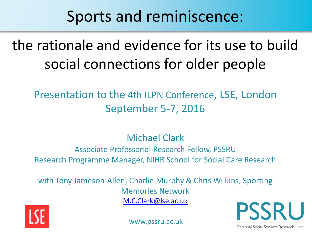## Sports and reminiscence:

# the rationale and evidence for its use to build social connections for older people

#### Presentation to the 4th ILPN Conference, LSE, London September 5-7, 2016

#### Michael Clark

#### Associate Professorial Research Fellow, PSSRU Research Programme Manager, NIHR School for Social Care Research

with Tony Jameson-Allen, Charlie Murphy & Chris Wilkins, Sporting Memories Network [M.C.Clark@lse.ac.uk](mailto:M.C.Clark@lse.ac.uk)



www.pssru.ac.uk



Personal Social Services Research Unit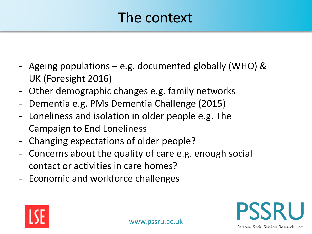#### The context

- Ageing populations e.g. documented globally (WHO) & UK (Foresight 2016)
- Other demographic changes e.g. family networks
- Dementia e.g. PMs Dementia Challenge (2015)
- Loneliness and isolation in older people e.g. The Campaign to End Loneliness
- Changing expectations of older people?
- Concerns about the quality of care e.g. enough social contact or activities in care homes?
- Economic and workforce challenges



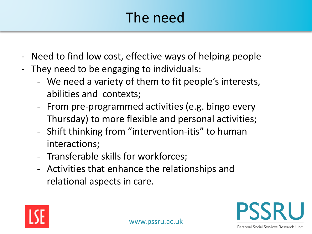# The need

- Need to find low cost, effective ways of helping people
- They need to be engaging to individuals:
	- We need a variety of them to fit people's interests, abilities and contexts;
	- From pre-programmed activities (e.g. bingo every Thursday) to more flexible and personal activities;
	- Shift thinking from "intervention-itis" to human interactions;
	- Transferable skills for workforces;
	- Activities that enhance the relationships and relational aspects in care.

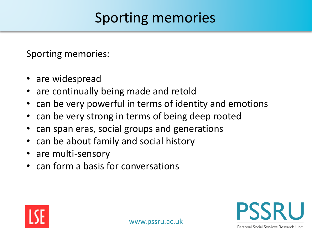### Sporting memories

Sporting memories:

- are widespread
- are continually being made and retold
- can be very powerful in terms of identity and emotions
- can be very strong in terms of being deep rooted
- can span eras, social groups and generations
- can be about family and social history
- are multi-sensory
- can form a basis for conversations

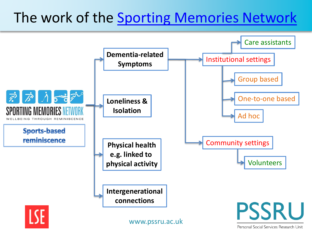### The work of the [Sporting Memories Network](http://www.sportingmemoriesnetwork.com/)



Personal Social Services Research Unit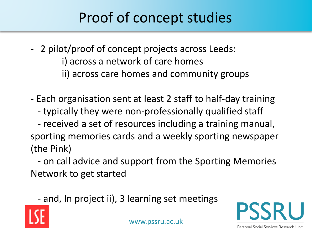## Proof of concept studies

- 2 pilot/proof of concept projects across Leeds: i) across a network of care homes ii) across care homes and community groups
- Each organisation sent at least 2 staff to half-day training
	- typically they were non-professionally qualified staff
- received a set of resources including a training manual, sporting memories cards and a weekly sporting newspaper (the Pink)

- on call advice and support from the Sporting Memories Network to get started

- and, In project ii), 3 learning set meetings

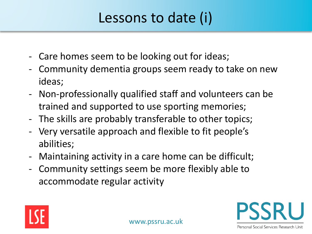## Lessons to date (i)

- Care homes seem to be looking out for ideas;
- Community dementia groups seem ready to take on new ideas;
- Non-professionally qualified staff and volunteers can be trained and supported to use sporting memories;
- The skills are probably transferable to other topics;
- Very versatile approach and flexible to fit people's abilities;
- Maintaining activity in a care home can be difficult;
- Community settings seem be more flexibly able to accommodate regular activity

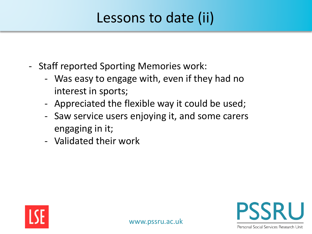## Lessons to date (ii)

- Staff reported Sporting Memories work:
	- Was easy to engage with, even if they had no interest in sports;
	- Appreciated the flexible way it could be used;
	- Saw service users enjoying it, and some carers engaging in it;
	- Validated their work